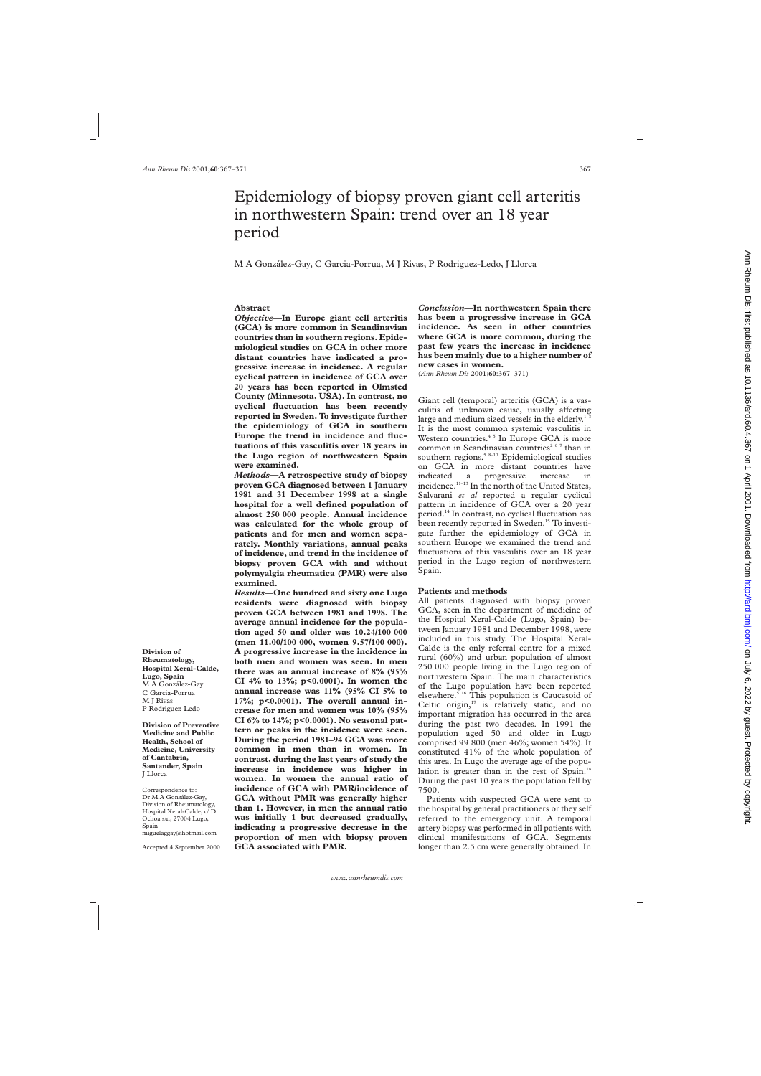**gressive increase in incidence. A regular cyclical pattern in incidence of GCA over 20 years has been reported in Olmsted County (Minnesota, USA). In contrast, no cyclical fluctuation has been recently reported in Sweden. To investigate further the epidemiology of GCA in southern Europe the trend in incidence and fluctuations of this vasculitis over 18 years in the Lugo region of northwestern Spain were examined.**

**distant countries have indicated a pro-**

*Methods***—A retrospective study of biopsy proven GCA diagnosed between 1 January 1981 and 31 December 1998 at a single hospital for a well defined population of almost 250 000 people. Annual incidence was calculated for the whole group of patients and for men and women separately. Monthly variations, annual peaks of incidence, and trend in the incidence of biopsy proven GCA with and without polymyalgia rheumatica (PMR) were also examined.**

*Results***—One hundred and sixty one Lugo residents were diagnosed with biopsy proven GCA between 1981 and 1998. The average annual incidence for the population aged 50 and older was 10.24/100 000 (men 11.00/100 000, women 9.57/100 000). A progressive increase in the incidence in both men and women was seen. In men there was an annual increase of 8% (95% CI 4% to 13%; p<0.0001). In women the annual increase was 11% (95% CI 5% to 17%; p<0.0001). The overall annual increase for men and women was 10% (95% CI 6% to 14%; p<0.0001). No seasonal pattern or peaks in the incidence were seen. During the period 1981–94 GCA was more common in men than in women. In contrast, during the last years of study the increase in incidence was higher in women. In women the annual ratio of incidence of GCA with PMR/incidence of GCA without PMR was generally higher than 1. However, in men the annual ratio was initially 1 but decreased gradually, indicating a progressive decrease in the proportion of men with biopsy proven GCA associated with PMR.**

**Division of Rheumatology, Hospital Xeral-Calde, Lugo, Spain** M A González-Gay C Garcia-Porrua M J Rivas P Rodriguez-Ledo

**Division of Preventive Medicine and Public Health, School of Medicine, University of Cantabria, Santander, Spain** J Llorca

Correspondence to: Dr M A González-Gay, Division of Rheumatology, Hospital Xeral-Calde, c/ Dr Ochoa s/n, 27004 Lugo, Spain miguelaggay@hotmail.com

Accepted 4 September 2000

*www.annrheumdis.com*

## **new cases in women.** (*Ann Rheum Dis* 2001;**60**:367–371)

Giant cell (temporal) arteritis (GCA culitis of unknown cause, usually large and medium sized vessels in the It is the most common systemic va Western countries. $45$  In Europe GC common in Scandinavian countries<sup>2</sup> southern regions.<sup>5 8–10</sup> Epidemiological studies on GCA in more distant count indicated a progressive increase incidence. $11-13$  In the north of the Uni Salvarani et al reported a regula pattern in incidence of GCA over period. $14$  In contrast, no cyclical fluct been recently reported in Sweden.<sup>15</sup> gate further the epidemiology of southern Europe we examined the fluctuations of this vasculitis over a period in the Lugo region of nor Spain.

## **Patients and methods**

All patients diagnosed with biop GCA, seen in the department of m the Hospital Xeral-Calde (Lugo, Spann) tween January 1981 and December 1 included in this study. The Hospi Calde is the only referral centre for rural  $(60\%)$  and urban population  $250000$  people living in the Lugo northwestern Spain. The main characteristics of the Lugo population have been elsewhere. $516$  This population is Ca Celtic origin, $17$  is relatively static important migration has occurred in during the past two decades. In population aged 50 and older comprised 99 800 (men 46%; wome constituted  $41\%$  of the whole pop this area. In Lugo the average age of lation is greater than in the rest of During the past 10 years the population fellow 7500.

Patients with suspected GCA we the hospital by general practitioners referred to the emergency unit. A artery biopsy was performed in all pa clinical manifestations of GCA. longer than 2.5 cm were generally ol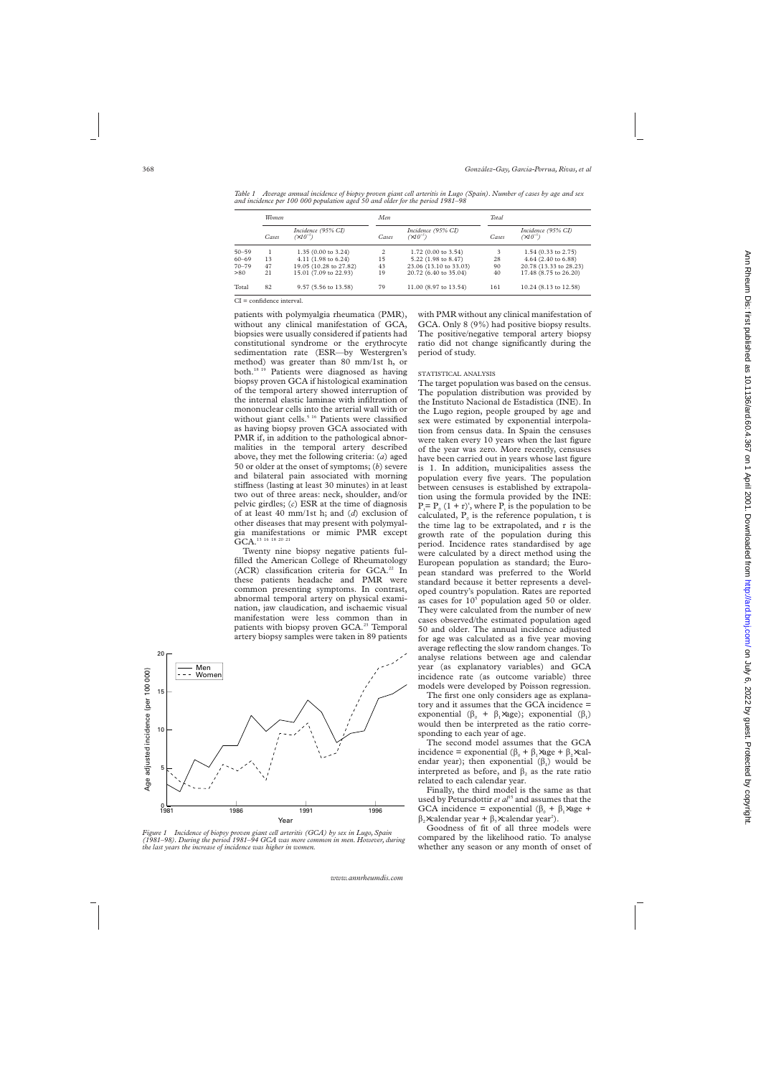method) was greater than 80 mm/1st h, or both.<sup>18 19</sup> Patients were diagnosed as having biopsy proven GCA if histological examination of the temporal artery showed interruption of the internal elastic laminae with infiltration of mononuclear cells into the arterial wall with or without giant cells.<sup>5 16</sup> Patients were classified as having biopsy proven GCA associated with PMR if, in addition to the pathological abnormalities in the temporal artery described above, they met the following criteria: (*a*) aged 50 or older at the onset of symptoms; (*b*) severe and bilateral pain associated with morning stiffness (lasting at least 30 minutes) in at least two out of three areas: neck, shoulder, and/or pelvic girdles; (*c*) ESR at the time of diagnosis of at least 40 mm/1st h; and (*d*) exclusion of other diseases that may present with polymyalgia manifestations or mimic PMR except GCA.<sup>13 16</sup> <sup>18 20</sup> <sup>21</sup>

Twenty nine biopsy negative patients fulfilled the American College of Rheumatology  $(ACR)$  classification criteria for GCA.<sup>22</sup> In these patients headache and PMR were common presenting symptoms. In contrast, abnormal temporal artery on physical examination, jaw claudication, and ischaemic visual manifestation were less common than in patients with biopsy proven GCA.<sup>23</sup> Temporal artery biopsy samples were taken in 89 patients



*Figure 1 Incidence of biopsy proven giant cell arteritis (GCA) by sex in Lugo, Spain (1981–98). During the period 1981–94 GCA was more common in men. However, during the last years the increase of incidence was higher in women.*

*www.annrheumdis.com*

## STATISTICAL ANALYSIS

The target population was based on the The population distribution was provided by the Instituto Nacional de Estadística the Lugo region, people grouped b sex were estimated by exponential tion from census data. In Spain the were taken every 10 years when the of the year was zero. More recently have been carried out in years whose is 1. In addition, municipalities population every five years. The between censuses is established by tion using the formula provided by  $P_t = P_0 (1 + r)^t$ , where  $P_t$  is the population calculated,  $P_0$  is the reference popu the time lag to be extrapolated, an growth rate of the population d period. Incidence rates standardise were calculated by a direct method European population as standard; pean standard was preferred to standard because it better represent oped country's population. Rates are as cases for  $10<sup>5</sup>$  population aged 50 They were calculated from the number cases observed/the estimated popul 50 and older. The annual incidenc for age was calculated as a five ye average reflecting the slow random changes. analyse relations between age and year (as explanatory variables) a incidence rate (as outcome varia models were developed by Poisson a

The first one only considers age a tory and it assumes that the GCA in exponential ( $\beta_0$  +  $\beta_1$ ×age); exponential would then be interpreted as the rational sponding to each year of age.

The second model assumes that incidence = exponential  $(\beta_0 + \beta_1 \times \text{age})$ endar year); then exponential  $(\beta_1)$ interpreted as before, and  $\beta$ , as the related to each calendar year.

Finally, the third model is the same used by Petursdottir *et al*<sup>15</sup> and assum GCA incidence = exponential  $(\beta_0 + \beta_1)$  $\beta_2$ ×calendar year +  $\beta_3$ ×calendar year<sup>2</sup>

Goodness of fit of all three mo compared by the likelihood ratio. " whether any season or any month of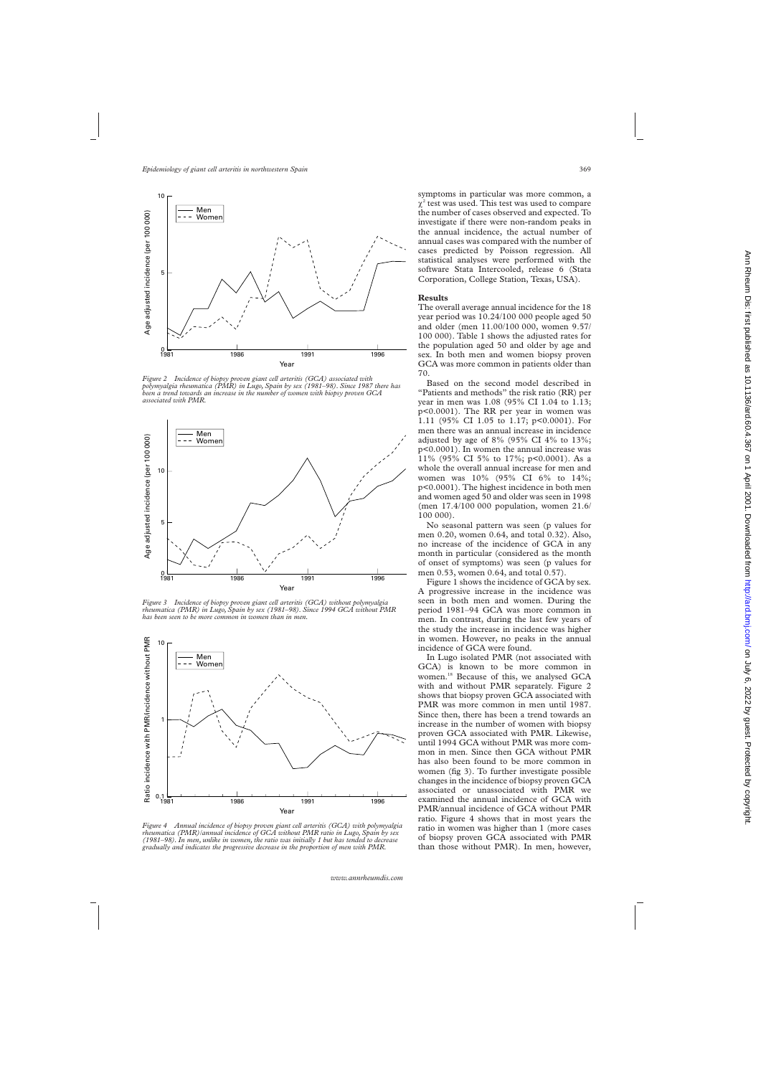Year

*Figure 2 Incidence of biopsy proven giant cell arteritis (GCA) associated with polymyalgia rheumatica (PMR) in Lugo, Spain by sex (1981–98). Since 1987 there has been a trend towards an increase in the number of women with biopsy proven GCA associated with PMR.*



*Figure 3 Incidence of biopsy proven giant cell arteritis (GCA) without polymyalgia rheumatica (PMR) in Lugo, Spain by sex (1981–98). Since 1994 GCA without PMR has been seen to be more common in women than in men.*



*Figure 4 Annual incidence of biopsy proven giant cell arteritis (GCA) with polymyalgia rheumatica (PMR)/annual incidence of GCA without PMR ratio in Lugo, Spain by sex (1981–98). In men, unlike in women, the ratio was initially 1 but has tended to decrease gradually and indicates the progressive decrease in the proportion of men with PMR.*

*www.annrheumdis.com*

GCA was more common in patients 70.

Based on the second model de "Patients and methods" the risk ratio year in men was  $1.08$  (95% CI  $1.0$  $p<0.0001$ ). The RR per year in w 1.11 (95% CI 1.05 to 1.17; p<0.0 men there was an annual increase in adjusted by age of 8% (95% CI  $4\%$  $p<0.0001$ ). In women the annual in 11% (95% CI 5% to 17%; p<0.00 whole the overall annual increase fo women was  $10\%$  (95% CI 6%)  $p<0.0001$ ). The highest incidence in and women aged 50 and older was se (men  $17.4/100000$  population, wo 100 000).

No seasonal pattern was seen (p men  $0.20$ , women  $0.64$ , and total  $0$ . no increase of the incidence of GO month in particular (considered as of onset of symptoms) was seen (p men  $0.53$ , women  $0.64$ , and total  $0.57$ .

Figure 1 shows the incidence of  $G$ A progressive increase in the incident seen in both men and women.  $\Gamma$ period 1981–94 GCA was more commen. In contrast, during the last fe the study the increase in incidence in women. However, no peaks in t incidence of GCA were found.

In Lugo isolated PMR (not assoc GCA) is known to be more comwomen.<sup>18</sup> Because of this, we analy with and without PMR separately. shows that biopsy proven GCA assoc PMR was more common in men u Since then, there has been a trend to increase in the number of women w proven GCA associated with PMR. until 1994 GCA without PMR was a mon in men. Since then GCA with has also been found to be more co women (fig 3). To further investigated changes in the incidence of biopsy pr associated or unassociated with examined the annual incidence of PMR/annual incidence of GCA with ratio. Figure 4 shows that in most ratio in women was higher than 1 (n of biopsy proven GCA associated v than those without PMR). In men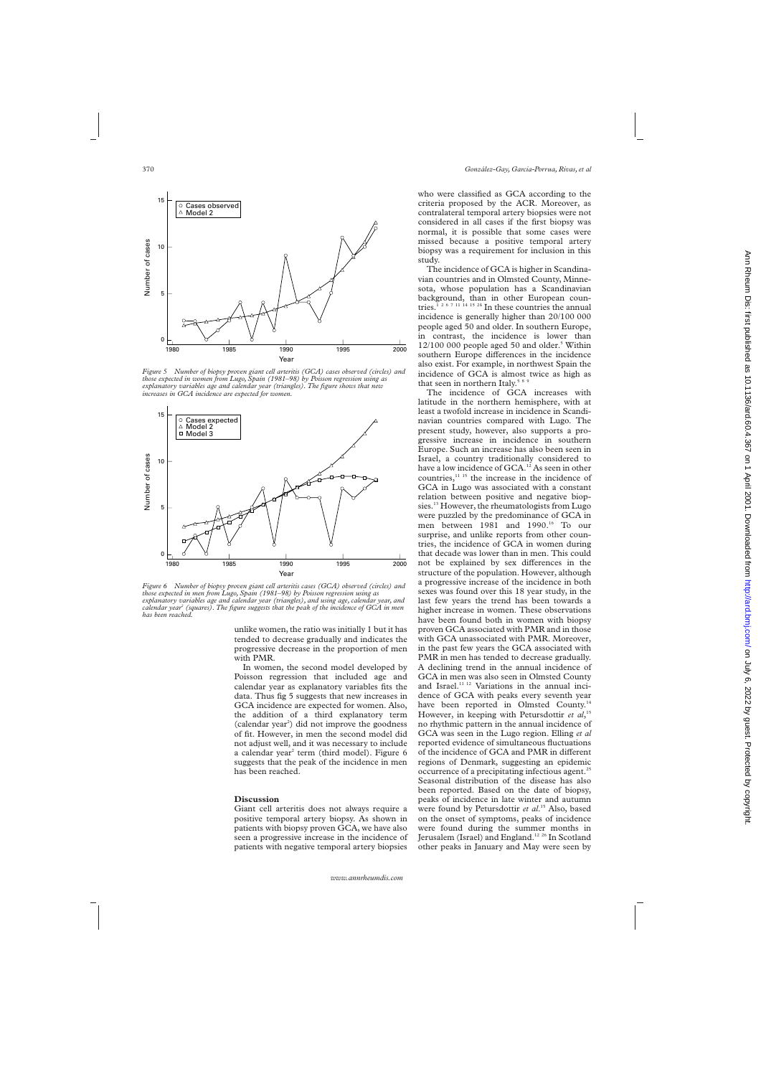ruu

*Figure 5 Number of biopsy proven giant cell arteritis (GCA) cases observed (circles) and those expected in women from Lugo, Spain (1981–98) by Poisson regression using as explanatory variables age and calendar year (triangles). The figure shows that new increases in GCA incidence are expected for women.*



*Figure 6 Number of biopsy proven giant cell arteritis cases (GCA) observed (circles) and those expected in men from Lugo, Spain (1981–98) by Poisson regression using as explanatory variables age and calendar year (triangles), and using age, calendar year, and calendar year<sup>2</sup> (squares). The figure suggests that the peak of the incidence of GCA in men has been reached.*

unlike women, the ratio was initially 1 but it has tended to decrease gradually and indicates the progressive decrease in the proportion of men with PMR.

In women, the second model developed by Poisson regression that included age and calendar year as explanatory variables fits the data. Thus fig 5 suggests that new increases in GCA incidence are expected for women. Also, the addition of a third explanatory term (calendar year<sup>2</sup>) did not improve the goodness of fit. However, in men the second model did not adjust well, and it was necessary to include a calendar year<sup>2</sup> term (third model). Figure  $6$ suggests that the peak of the incidence in men has been reached.

## **Discussion**

Giant cell arteritis does not always require a positive temporal artery biopsy. As shown in patients with biopsy proven GCA, we have also seen a progressive increase in the incidence of patients with negative temporal artery biopsies

*www.annrheumdis.com*

also exist. For example, in northwest incidence of GCA is almost twice that seen in northern Italy.<sup>589</sup>

The incidence of GCA incre latitude in the northern hemispher least a twofold increase in incidence navian countries compared with I present study, however, also support gressive increase in incidence in Europe. Such an increase has also be Israel, a country traditionally con have a low incidence of GCA.<sup>12</sup> As se countries, $11 15$  the increase in the in GCA in Lugo was associated with relation between positive and nega sies.<sup>13</sup> However, the rheumatologists  $\overline{\phantom{a}}$ were puzzled by the predominance men between 1981 and  $1990.^{16}$ surprise, and unlike reports from other tries, the incidence of GCA in won that decade was lower than in men.' not be explained by sex difference structure of the population. However, a progressive increase of the inciden sexes was found over this 18 year sto last few years the trend has been higher increase in women. These ob have been found both in women w proven GCA associated with PMR and with GCA unassociated with PMR. in the past few years the GCA assoc PMR in men has tended to decrease A declining trend in the annual in GCA in men was also seen in Olmst and Israel.<sup>11-12</sup> Variations in the an dence of GCA with peaks every se have been reported in Olmsted However, in keeping with Petursdot no rhythmic pattern in the annual in GCA was seen in the Lugo region. reported evidence of simultaneous fl of the incidence of GCA and PMR in regions of Denmark, suggesting an occurrence of a precipitating infectio Seasonal distribution of the diseas been reported. Based on the date peaks of incidence in late winter an were found by Petursdottir et al.<sup>15</sup> A on the onset of symptoms, peaks of were found during the summer in Jerusalem (Israel) and England.<sup>12 26</sup> In other peaks in January and May we